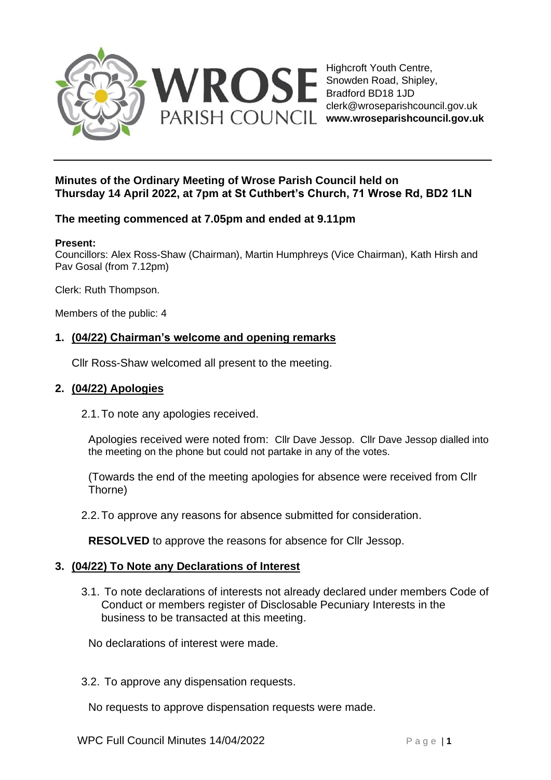

Highcroft Youth Centre, Snowden Road, Shipley, Bradford BD18 1JD clerk@wroseparishcouncil.gov.uk

## **Minutes of the Ordinary Meeting of Wrose Parish Council held on Thursday 14 April 2022, at 7pm at St Cuthbert's Church, 71 Wrose Rd, BD2 1LN**

# **The meeting commenced at 7.05pm and ended at 9.11pm**

### **Present:**

Councillors: Alex Ross-Shaw (Chairman), Martin Humphreys (Vice Chairman), Kath Hirsh and Pav Gosal (from 7.12pm)

Clerk: Ruth Thompson.

Members of the public: 4

# **1. (04/22) Chairman's welcome and opening remarks**

Cllr Ross-Shaw welcomed all present to the meeting.

### **2. (04/22) Apologies**

2.1.To note any apologies received.

Apologies received were noted from: Cllr Dave Jessop. Cllr Dave Jessop dialled into the meeting on the phone but could not partake in any of the votes.

(Towards the end of the meeting apologies for absence were received from Cllr Thorne)

2.2.To approve any reasons for absence submitted for consideration.

**RESOLVED** to approve the reasons for absence for Cllr Jessop.

## **3. (04/22) To Note any Declarations of Interest**

3.1. To note declarations of interests not already declared under members Code of Conduct or members register of Disclosable Pecuniary Interests in the business to be transacted at this meeting.

No declarations of interest were made.

3.2. To approve any dispensation requests.

No requests to approve dispensation requests were made.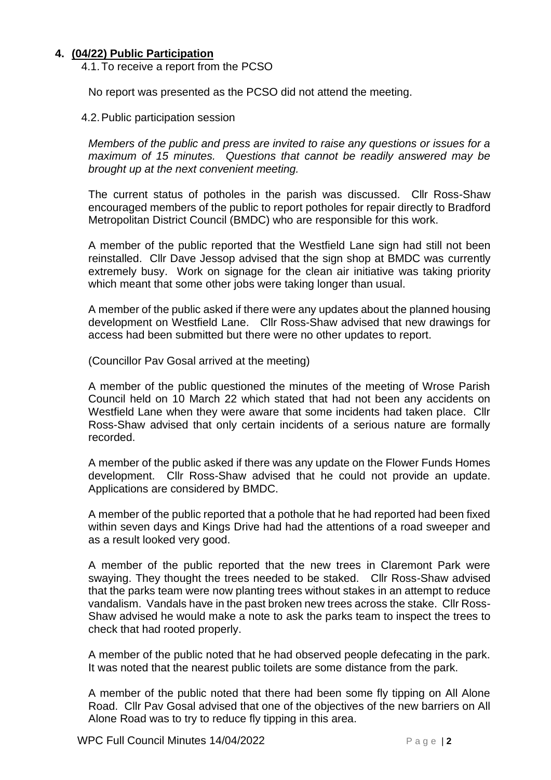## **4. (04/22) Public Participation**

4.1.To receive a report from the PCSO

No report was presented as the PCSO did not attend the meeting.

4.2.Public participation session

*Members of the public and press are invited to raise any questions or issues for a maximum of 15 minutes. Questions that cannot be readily answered may be brought up at the next convenient meeting.*

The current status of potholes in the parish was discussed. Cllr Ross-Shaw encouraged members of the public to report potholes for repair directly to Bradford Metropolitan District Council (BMDC) who are responsible for this work.

A member of the public reported that the Westfield Lane sign had still not been reinstalled. Cllr Dave Jessop advised that the sign shop at BMDC was currently extremely busy. Work on signage for the clean air initiative was taking priority which meant that some other jobs were taking longer than usual.

A member of the public asked if there were any updates about the planned housing development on Westfield Lane. Cllr Ross-Shaw advised that new drawings for access had been submitted but there were no other updates to report.

(Councillor Pav Gosal arrived at the meeting)

A member of the public questioned the minutes of the meeting of Wrose Parish Council held on 10 March 22 which stated that had not been any accidents on Westfield Lane when they were aware that some incidents had taken place. Cllr Ross-Shaw advised that only certain incidents of a serious nature are formally recorded.

A member of the public asked if there was any update on the Flower Funds Homes development. Cllr Ross-Shaw advised that he could not provide an update. Applications are considered by BMDC.

A member of the public reported that a pothole that he had reported had been fixed within seven days and Kings Drive had had the attentions of a road sweeper and as a result looked very good.

A member of the public reported that the new trees in Claremont Park were swaying. They thought the trees needed to be staked. Cllr Ross-Shaw advised that the parks team were now planting trees without stakes in an attempt to reduce vandalism. Vandals have in the past broken new trees across the stake. Cllr Ross-Shaw advised he would make a note to ask the parks team to inspect the trees to check that had rooted properly.

A member of the public noted that he had observed people defecating in the park. It was noted that the nearest public toilets are some distance from the park.

A member of the public noted that there had been some fly tipping on All Alone Road. Cllr Pav Gosal advised that one of the objectives of the new barriers on All Alone Road was to try to reduce fly tipping in this area.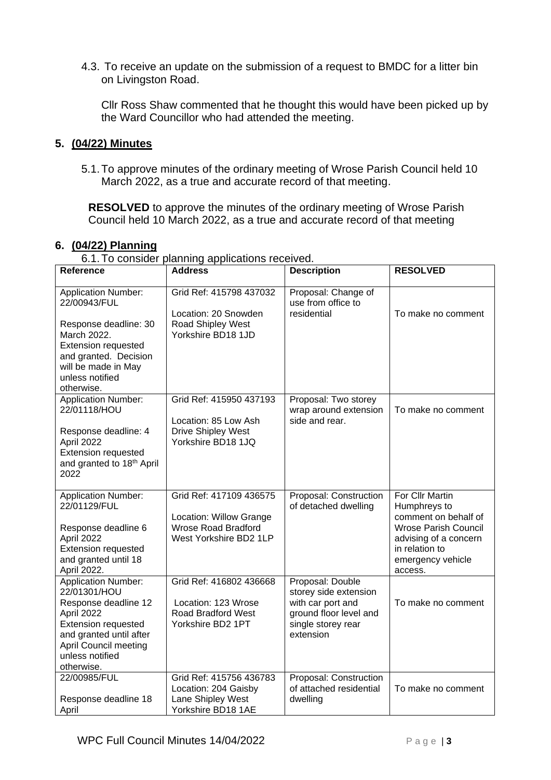4.3. To receive an update on the submission of a request to BMDC for a litter bin on Livingston Road.

Cllr Ross Shaw commented that he thought this would have been picked up by the Ward Councillor who had attended the meeting.

### **5. (04/22) Minutes**

5.1.To approve minutes of the ordinary meeting of Wrose Parish Council held 10 March 2022, as a true and accurate record of that meeting.

**RESOLVED** to approve the minutes of the ordinary meeting of Wrose Parish Council held 10 March 2022, as a true and accurate record of that meeting

### **6. (04/22) Planning**

6.1.To consider planning applications received.

| Reference                                                                                                                                                                                                  | <b>Address</b>                                                                                             | <b>Description</b>                                                                                                          | <b>RESOLVED</b>                                                                                                                                                   |
|------------------------------------------------------------------------------------------------------------------------------------------------------------------------------------------------------------|------------------------------------------------------------------------------------------------------------|-----------------------------------------------------------------------------------------------------------------------------|-------------------------------------------------------------------------------------------------------------------------------------------------------------------|
| <b>Application Number:</b><br>22/00943/FUL<br>Response deadline: 30<br>March 2022.<br><b>Extension requested</b><br>and granted. Decision<br>will be made in May<br>unless notified<br>otherwise.          | Grid Ref: 415798 437032<br>Location: 20 Snowden<br>Road Shipley West<br>Yorkshire BD18 1JD                 | Proposal: Change of<br>use from office to<br>residential                                                                    | To make no comment                                                                                                                                                |
| <b>Application Number:</b><br>22/01118/HOU<br>Response deadline: 4<br>April 2022<br><b>Extension requested</b><br>and granted to 18th April<br>2022                                                        | Grid Ref: 415950 437193<br>Location: 85 Low Ash<br><b>Drive Shipley West</b><br>Yorkshire BD18 1JQ         | Proposal: Two storey<br>wrap around extension<br>side and rear.                                                             | To make no comment                                                                                                                                                |
| <b>Application Number:</b><br>22/01129/FUL<br>Response deadline 6<br>April 2022<br><b>Extension requested</b><br>and granted until 18<br>April 2022.                                                       | Grid Ref: 417109 436575<br>Location: Willow Grange<br><b>Wrose Road Bradford</b><br>West Yorkshire BD2 1LP | Proposal: Construction<br>of detached dwelling                                                                              | For Cllr Martin<br>Humphreys to<br>comment on behalf of<br><b>Wrose Parish Council</b><br>advising of a concern<br>in relation to<br>emergency vehicle<br>access. |
| <b>Application Number:</b><br>22/01301/HOU<br>Response deadline 12<br>April 2022<br><b>Extension requested</b><br>and granted until after<br><b>April Council meeting</b><br>unless notified<br>otherwise. | Grid Ref: 416802 436668<br>Location: 123 Wrose<br>Road Bradford West<br>Yorkshire BD2 1PT                  | Proposal: Double<br>storey side extension<br>with car port and<br>ground floor level and<br>single storey rear<br>extension | To make no comment                                                                                                                                                |
| 22/00985/FUL<br>Response deadline 18<br>April                                                                                                                                                              | Grid Ref: 415756 436783<br>Location: 204 Gaisby<br>Lane Shipley West<br>Yorkshire BD18 1AE                 | Proposal: Construction<br>of attached residential<br>dwelling                                                               | To make no comment                                                                                                                                                |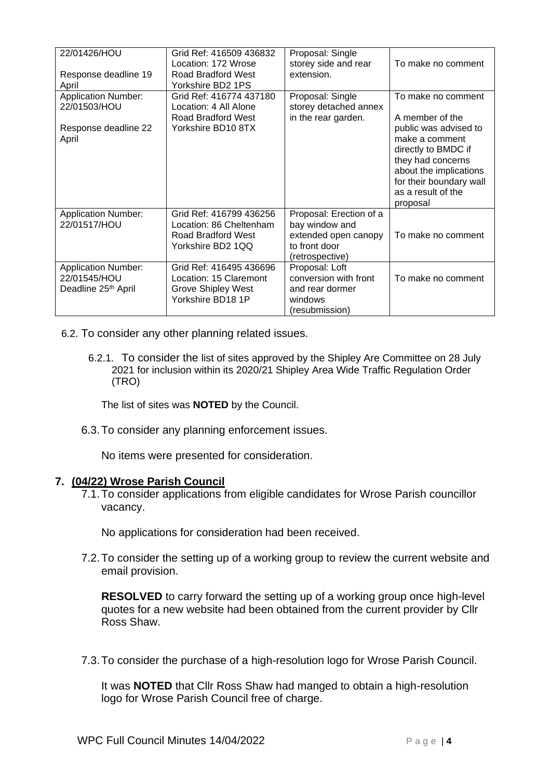| 22/01426/HOU<br>Response deadline 19<br>April                                 | Grid Ref: 416509 436832<br>Location: 172 Wrose<br>Road Bradford West<br>Yorkshire BD2 1PS     | Proposal: Single<br>storey side and rear<br>extension.                                                | To make no comment                                                                                                                                                         |
|-------------------------------------------------------------------------------|-----------------------------------------------------------------------------------------------|-------------------------------------------------------------------------------------------------------|----------------------------------------------------------------------------------------------------------------------------------------------------------------------------|
| <b>Application Number:</b><br>22/01503/HOU                                    | Grid Ref: 416774 437180<br>Location: 4 All Alone<br>Road Bradford West                        | Proposal: Single<br>storey detached annex<br>in the rear garden.                                      | To make no comment<br>A member of the                                                                                                                                      |
| Response deadline 22<br>April                                                 | Yorkshire BD10 8TX                                                                            |                                                                                                       | public was advised to<br>make a comment<br>directly to BMDC if<br>they had concerns<br>about the implications<br>for their boundary wall<br>as a result of the<br>proposal |
| <b>Application Number:</b><br>22/01517/HOU                                    | Grid Ref: 416799 436256<br>Location: 86 Cheltenham<br>Road Bradford West<br>Yorkshire BD2 1QQ | Proposal: Erection of a<br>bay window and<br>extended open canopy<br>to front door<br>(retrospective) | To make no comment                                                                                                                                                         |
| <b>Application Number:</b><br>22/01545/HOU<br>Deadline 25 <sup>th</sup> April | Grid Ref: 416495 436696<br>Location: 15 Claremont<br>Grove Shipley West<br>Yorkshire BD18 1P  | Proposal: Loft<br>conversion with front<br>and rear dormer<br>windows<br>(resubmission)               | To make no comment                                                                                                                                                         |

- 6.2. To consider any other planning related issues.
	- 6.2.1. To consider the list of sites approved by the Shipley Are Committee on 28 July 2021 for inclusion within its 2020/21 Shipley Area Wide Traffic Regulation Order (TRO)

The list of sites was **NOTED** by the Council.

6.3.To consider any planning enforcement issues.

No items were presented for consideration.

## **7. (04/22) Wrose Parish Council**

7.1.To consider applications from eligible candidates for Wrose Parish councillor vacancy.

No applications for consideration had been received.

7.2.To consider the setting up of a working group to review the current website and email provision.

**RESOLVED** to carry forward the setting up of a working group once high-level quotes for a new website had been obtained from the current provider by Cllr Ross Shaw.

7.3.To consider the purchase of a high-resolution logo for Wrose Parish Council.

It was **NOTED** that Cllr Ross Shaw had manged to obtain a high-resolution logo for Wrose Parish Council free of charge.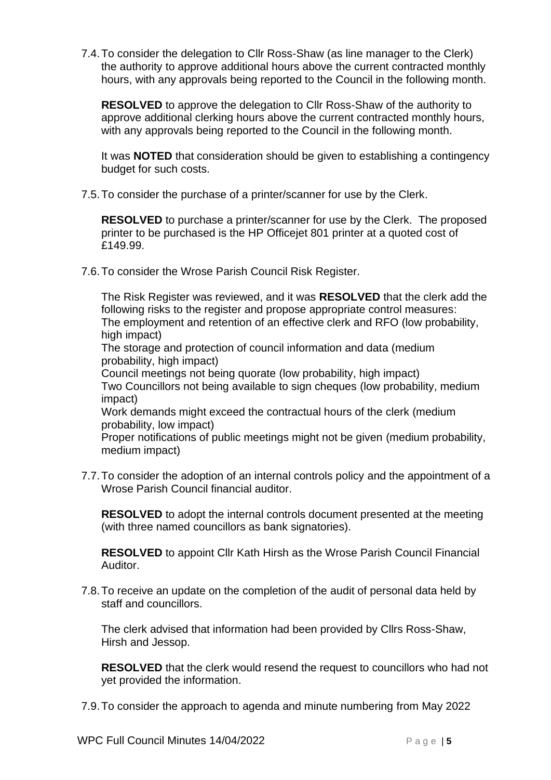7.4.To consider the delegation to Cllr Ross-Shaw (as line manager to the Clerk) the authority to approve additional hours above the current contracted monthly hours, with any approvals being reported to the Council in the following month.

**RESOLVED** to approve the delegation to Cllr Ross-Shaw of the authority to approve additional clerking hours above the current contracted monthly hours, with any approvals being reported to the Council in the following month.

It was **NOTED** that consideration should be given to establishing a contingency budget for such costs.

7.5.To consider the purchase of a printer/scanner for use by the Clerk.

**RESOLVED** to purchase a printer/scanner for use by the Clerk. The proposed printer to be purchased is the HP Officejet 801 printer at a quoted cost of £149.99.

7.6.To consider the Wrose Parish Council Risk Register.

The Risk Register was reviewed, and it was **RESOLVED** that the clerk add the following risks to the register and propose appropriate control measures: The employment and retention of an effective clerk and RFO (low probability, high impact) The storage and protection of council information and data (medium probability, high impact) Council meetings not being quorate (low probability, high impact) Two Councillors not being available to sign cheques (low probability, medium impact) Work demands might exceed the contractual hours of the clerk (medium probability, low impact)

Proper notifications of public meetings might not be given (medium probability, medium impact)

7.7.To consider the adoption of an internal controls policy and the appointment of a Wrose Parish Council financial auditor.

**RESOLVED** to adopt the internal controls document presented at the meeting (with three named councillors as bank signatories).

**RESOLVED** to appoint Cllr Kath Hirsh as the Wrose Parish Council Financial Auditor.

7.8.To receive an update on the completion of the audit of personal data held by staff and councillors.

The clerk advised that information had been provided by Cllrs Ross-Shaw, Hirsh and Jessop.

**RESOLVED** that the clerk would resend the request to councillors who had not yet provided the information.

7.9.To consider the approach to agenda and minute numbering from May 2022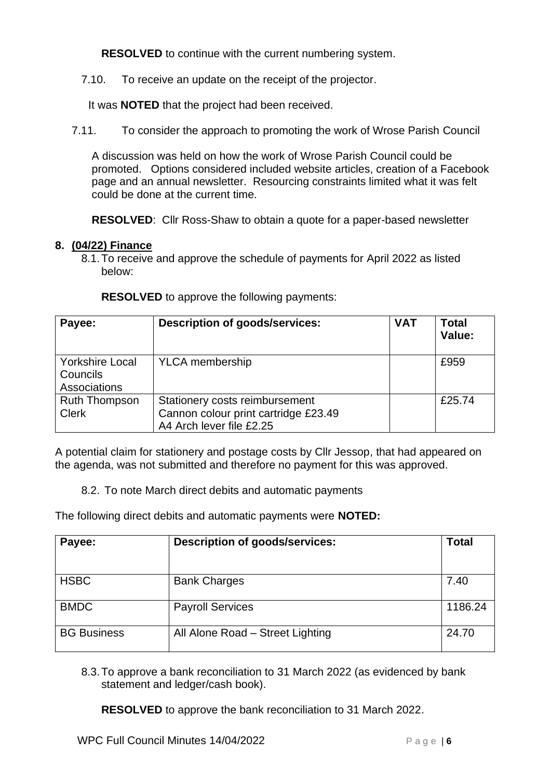**RESOLVED** to continue with the current numbering system.

7.10. To receive an update on the receipt of the projector.

It was **NOTED** that the project had been received.

7.11. To consider the approach to promoting the work of Wrose Parish Council

A discussion was held on how the work of Wrose Parish Council could be promoted. Options considered included website articles, creation of a Facebook page and an annual newsletter. Resourcing constraints limited what it was felt could be done at the current time.

**RESOLVED**: Cllr Ross-Shaw to obtain a quote for a paper-based newsletter

## **8. (04/22) Finance**

8.1.To receive and approve the schedule of payments for April 2022 as listed below:

| Payee:                                             | <b>Description of goods/services:</b>                                                              | <b>VAT</b> | <b>Total</b><br>Value: |
|----------------------------------------------------|----------------------------------------------------------------------------------------------------|------------|------------------------|
| <b>Yorkshire Local</b><br>Councils<br>Associations | <b>YLCA</b> membership                                                                             |            | £959                   |
| <b>Ruth Thompson</b><br><b>Clerk</b>               | Stationery costs reimbursement<br>Cannon colour print cartridge £23.49<br>A4 Arch lever file £2.25 |            | £25.74                 |

**RESOLVED** to approve the following payments:

A potential claim for stationery and postage costs by Cllr Jessop, that had appeared on the agenda, was not submitted and therefore no payment for this was approved.

8.2. To note March direct debits and automatic payments

The following direct debits and automatic payments were **NOTED:**

| Payee:             | <b>Description of goods/services:</b> | <b>Total</b> |
|--------------------|---------------------------------------|--------------|
| <b>HSBC</b>        | <b>Bank Charges</b>                   | 7.40         |
| <b>BMDC</b>        | <b>Payroll Services</b>               | 1186.24      |
| <b>BG Business</b> | All Alone Road - Street Lighting      | 24.70        |

8.3.To approve a bank reconciliation to 31 March 2022 (as evidenced by bank statement and ledger/cash book).

**RESOLVED** to approve the bank reconciliation to 31 March 2022.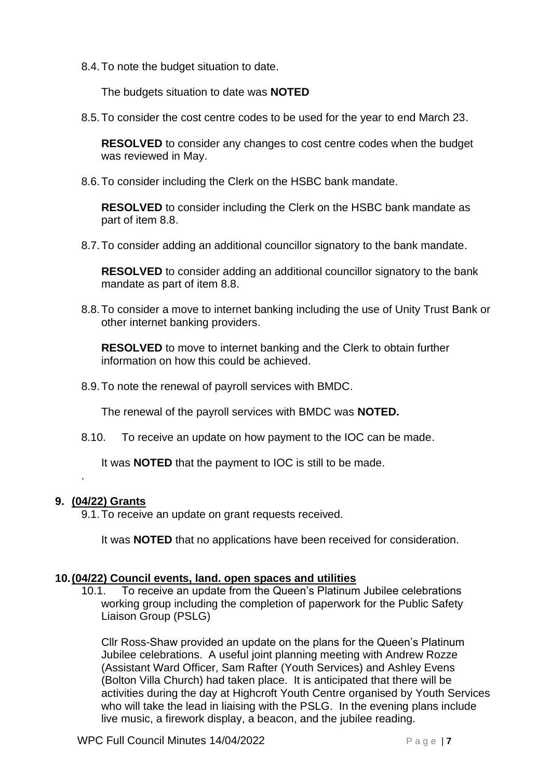8.4.To note the budget situation to date.

The budgets situation to date was **NOTED**

8.5.To consider the cost centre codes to be used for the year to end March 23.

**RESOLVED** to consider any changes to cost centre codes when the budget was reviewed in May.

8.6.To consider including the Clerk on the HSBC bank mandate.

**RESOLVED** to consider including the Clerk on the HSBC bank mandate as part of item 8.8.

8.7.To consider adding an additional councillor signatory to the bank mandate.

**RESOLVED** to consider adding an additional councillor signatory to the bank mandate as part of item 8.8.

8.8.To consider a move to internet banking including the use of Unity Trust Bank or other internet banking providers.

**RESOLVED** to move to internet banking and the Clerk to obtain further information on how this could be achieved.

8.9.To note the renewal of payroll services with BMDC.

The renewal of the payroll services with BMDC was **NOTED.**

8.10. To receive an update on how payment to the IOC can be made.

It was **NOTED** that the payment to IOC is still to be made.

## **9. (04/22) Grants**

.

9.1.To receive an update on grant requests received.

It was **NOTED** that no applications have been received for consideration.

#### **10.(04/22) Council events, land. open spaces and utilities**

10.1. To receive an update from the Queen's Platinum Jubilee celebrations working group including the completion of paperwork for the Public Safety Liaison Group (PSLG)

Cllr Ross-Shaw provided an update on the plans for the Queen's Platinum Jubilee celebrations. A useful joint planning meeting with Andrew Rozze (Assistant Ward Officer, Sam Rafter (Youth Services) and Ashley Evens (Bolton Villa Church) had taken place. It is anticipated that there will be activities during the day at Highcroft Youth Centre organised by Youth Services who will take the lead in liaising with the PSLG. In the evening plans include live music, a firework display, a beacon, and the jubilee reading.